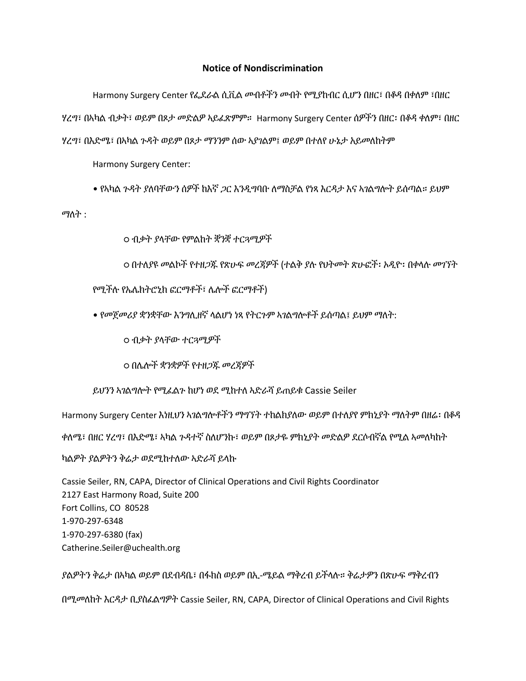## **Notice of Nondiscrimination**

Harmony Surgery Center የፌደራል ሲቪል መብቶችን መብት የሚያከብር ሲሆን በዘር፣ በቆዳ በቀለም ፣በዘር ሃረግ፣ በኣካል ብቃት፣ ወይም በጾታ መድልዎ ኣይፈጽምም። Harmony Surgery Center ሰዎችን በዘር፡ በቆዳ ቀለም፣ በዘር ሃረግ፣ በእድሜ፣ በኣካል ጉዳት ወይም በጾታ ማንንም ሰው ኣያገልም፤ ወይም በተለየ ሁኔታ አይመለከትም

Harmony Surgery Center:

• የኣካል ጉዳት ያለባቸውን ሰዎች ከእኛ ጋር እንዲግባቡ ለማስቻል የነጻ እርዳታ እና ኣገልግሎት ይሰጣል። ይህም

ማለት :

○ ብቃት ያላቸው የምልከት ቛንቛ ተርጓሚዎች

○ በተለያዩ መልኮች የተዘጋጁ የጽሁፍ መረጃዎች (ተልቅ ያሉ የህትመት ጽሁፎች፡ ኦዲዮ፡ በቀላሉ መገኘት

የሚችሉ የኤሌክትሮኒክ ፎርማቶች፣ ሌሎች ፎርማቶች)

• የመጀመሪያ ቋንቋቸው እንግሊዘኛ ላልሆነ ነጻ የትርጉም ኣገልግሎቶች ይሰጣል፤ ይህም ማለት:

○ ብቃት ያላቸው ተርጓሚዎች

○ በሌሎች ቋንቋዎች የተዘጋጁ መረጃዎች

ይህንን ኣገልግሎት የሚፈልጉ ከሆነ ወደ ሚከተለ ኣድራሻ ይጠይቁ Cassie Seiler

Harmony Surgery Center እነዚህን ኣገልግሎቶችን ማግኘት ተከልክያለው ወይም በተለያየ ምክኒያት ማለትም በዘሬ፡ በቆዳ

ቀለሜ፣ በዘር ሃረግ፣ በእድሜ፣ ኣካል ጉዳተኛ ስለሆንኩ፣ ወይም በጾታዬ ምክኒያት መድልዎ ደርሶብኛል የሚል ኣመለካከት

ካልዎት ያልዎትን ቅሬታ ወደሚከተለው ኣድራሻ ይላኩ

Cassie Seiler, RN, CAPA, Director of Clinical Operations and Civil Rights Coordinator 2127 East Harmony Road, Suite 200 Fort Collins, CO 80528 1-970-297-6348 1-970-297-6380 (fax) Catherine.Seiler@uchealth.org

ያልዎትን ቅሬታ በኣካል ወይም በደብዳቤ፣ በፋክስ ወይም በኢ-ሜይል ማቅረብ ይችላሉ። ቅሬታዎን በጽሁፍ ማቅረብን በሚመለከት እርዳታ ቢያስፈልግዎት Cassie Seiler, RN, CAPA, Director of Clinical Operations and Civil Rights